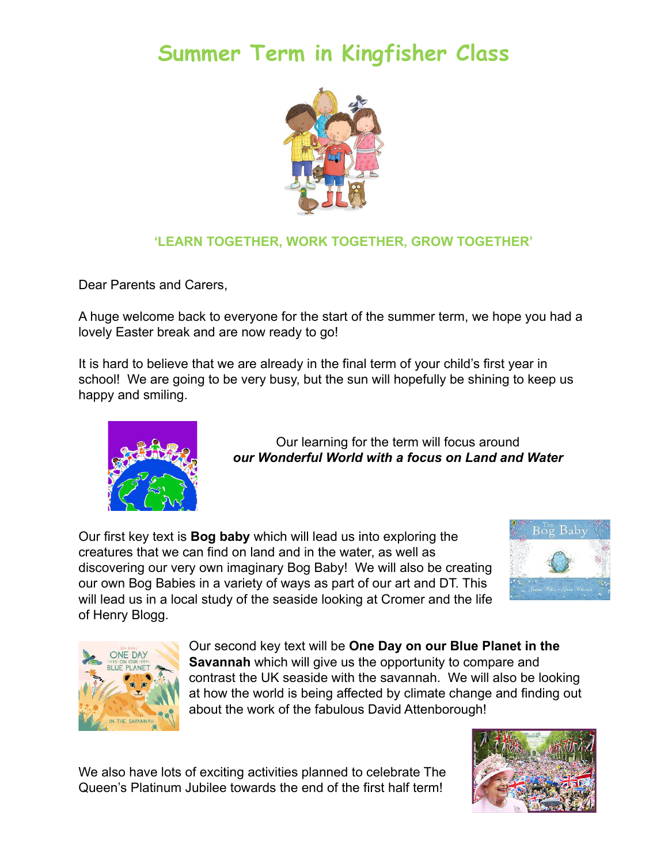## **Summer Term in Kingfisher Class**



## **'LEARN TOGETHER, WORK TOGETHER, GROW TOGETHER'**

Dear Parents and Carers,

A huge welcome back to everyone for the start of the summer term, we hope you had a lovely Easter break and are now ready to go!

It is hard to believe that we are already in the final term of your child's first year in school! We are going to be very busy, but the sun will hopefully be shining to keep us happy and smiling.



Our learning for the term will focus around *our Wonderful World with a focus on Land and Water*

Our first key text is **Bog baby** which will lead us into exploring the creatures that we can find on land and in the water, as well as discovering our very own imaginary Bog Baby! We will also be creating our own Bog Babies in a variety of ways as part of our art and DT. This will lead us in a local study of the seaside looking at Cromer and the life of Henry Blogg.





Our second key text will be **One Day on our Blue Planet in the Savannah** which will give us the opportunity to compare and contrast the UK seaside with the savannah. We will also be looking at how the world is being affected by climate change and finding out about the work of the fabulous David Attenborough!

We also have lots of exciting activities planned to celebrate The Queen's Platinum Jubilee towards the end of the first half term!